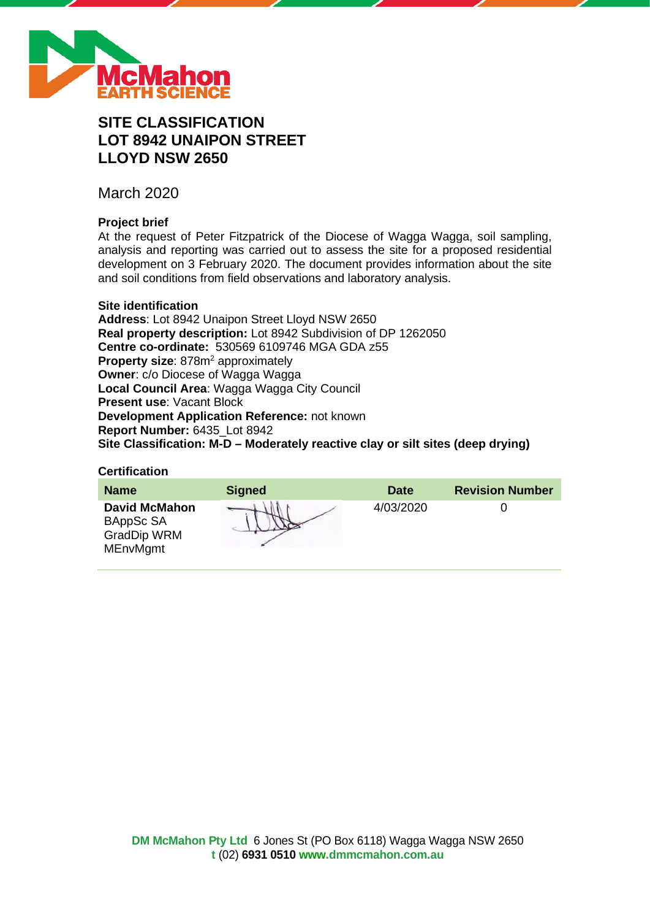

# **SITE CLASSIFICATION LOT 8942 UNAIPON STREET LLOYD NSW 2650**

March 2020

# **Project brief**

At the request of Peter Fitzpatrick of the Diocese of Wagga Wagga, soil sampling, analysis and reporting was carried out to assess the site for a proposed residential development on 3 February 2020. The document provides information about the site and soil conditions from field observations and laboratory analysis.

# **Site identification**

**Address**: Lot 8942 Unaipon Street Lloyd NSW 2650 **Real property description:** Lot 8942 Subdivision of DP 1262050 **Centre co-ordinate:** 530569 6109746 MGA GDA z55 **Property size:** 878m<sup>2</sup> approximately **Owner**: c/o Diocese of Wagga Wagga **Local Council Area**: Wagga Wagga City Council **Present use**: Vacant Block **Development Application Reference:** not known **Report Number:** 6435\_Lot 8942 **Site Classification: M-D – Moderately reactive clay or silt sites (deep drying)**

# **Certification**

| <b>Name</b>                                                                | <b>Signed</b> | <b>Date</b> | <b>Revision Number</b> |
|----------------------------------------------------------------------------|---------------|-------------|------------------------|
| <b>David McMahon</b><br>BAppSc SA<br><b>GradDip WRM</b><br><b>MEnvMgmt</b> |               | 4/03/2020   |                        |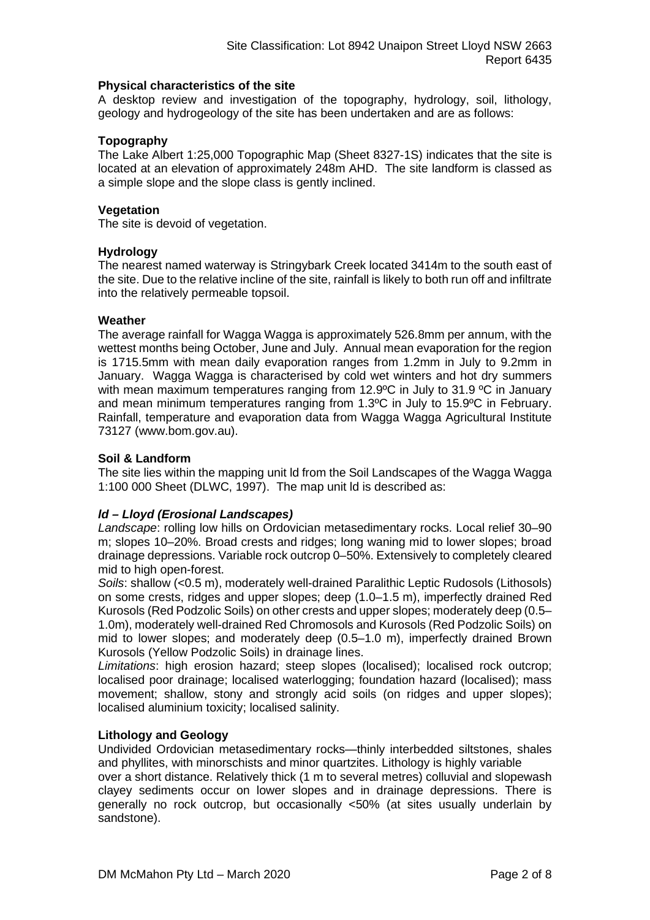### **Physical characteristics of the site**

A desktop review and investigation of the topography, hydrology, soil, lithology, geology and hydrogeology of the site has been undertaken and are as follows:

# **Topography**

The Lake Albert 1:25,000 Topographic Map (Sheet 8327-1S) indicates that the site is located at an elevation of approximately 248m AHD. The site landform is classed as a simple slope and the slope class is gently inclined.

### **Vegetation**

The site is devoid of vegetation.

### **Hydrology**

The nearest named waterway is Stringybark Creek located 3414m to the south east of the site. Due to the relative incline of the site, rainfall is likely to both run off and infiltrate into the relatively permeable topsoil.

### **Weather**

The average rainfall for Wagga Wagga is approximately 526.8mm per annum, with the wettest months being October, June and July. Annual mean evaporation for the region is 1715.5mm with mean daily evaporation ranges from 1.2mm in July to 9.2mm in January. Wagga Wagga is characterised by cold wet winters and hot dry summers with mean maximum temperatures ranging from 12.9°C in July to 31.9 °C in January and mean minimum temperatures ranging from 1.3ºC in July to 15.9ºC in February. Rainfall, temperature and evaporation data from Wagga Wagga Agricultural Institute 73127 (www.bom.gov.au).

### **Soil & Landform**

The site lies within the mapping unit ld from the Soil Landscapes of the Wagga Wagga 1:100 000 Sheet (DLWC, 1997). The map unit ld is described as:

# *ld – Lloyd (Erosional Landscapes)*

*Landscape*: rolling low hills on Ordovician metasedimentary rocks. Local relief 30–90 m; slopes 10–20%. Broad crests and ridges; long waning mid to lower slopes; broad drainage depressions. Variable rock outcrop 0–50%. Extensively to completely cleared mid to high open-forest.

*Soils*: shallow (<0.5 m), moderately well-drained Paralithic Leptic Rudosols (Lithosols) on some crests, ridges and upper slopes; deep (1.0–1.5 m), imperfectly drained Red Kurosols (Red Podzolic Soils) on other crests and upper slopes; moderately deep (0.5– 1.0m), moderately well-drained Red Chromosols and Kurosols (Red Podzolic Soils) on mid to lower slopes; and moderately deep (0.5–1.0 m), imperfectly drained Brown Kurosols (Yellow Podzolic Soils) in drainage lines.

*Limitations*: high erosion hazard; steep slopes (localised); localised rock outcrop; localised poor drainage; localised waterlogging; foundation hazard (localised); mass movement; shallow, stony and strongly acid soils (on ridges and upper slopes); localised aluminium toxicity; localised salinity.

# **Lithology and Geology**

Undivided Ordovician metasedimentary rocks—thinly interbedded siltstones, shales and phyllites, with minorschists and minor quartzites. Lithology is highly variable

over a short distance. Relatively thick (1 m to several metres) colluvial and slopewash clayey sediments occur on lower slopes and in drainage depressions. There is generally no rock outcrop, but occasionally <50% (at sites usually underlain by sandstone).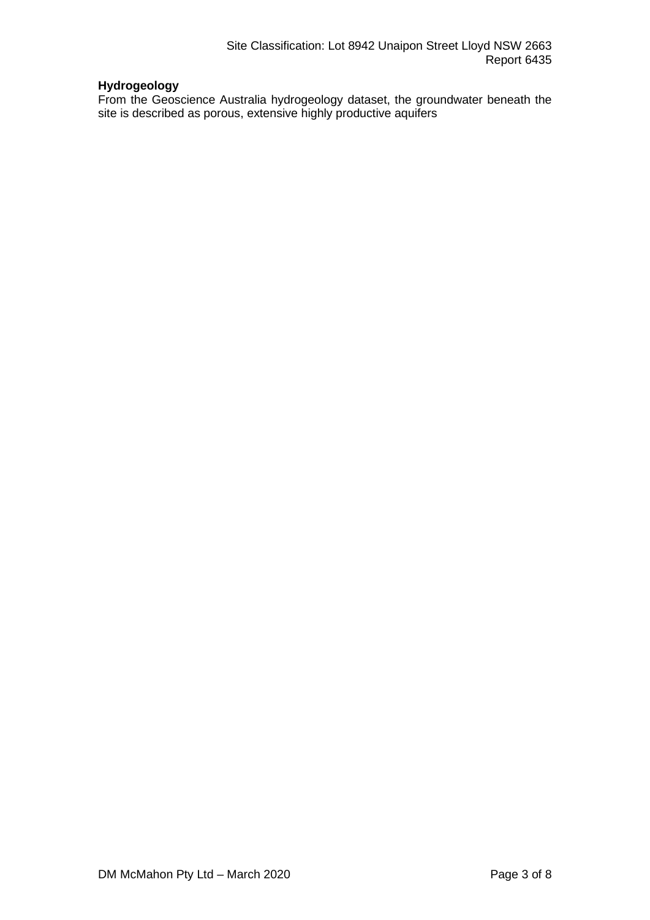# **Hydrogeology**

From the Geoscience Australia hydrogeology dataset, the groundwater beneath the site is described as porous, extensive highly productive aquifers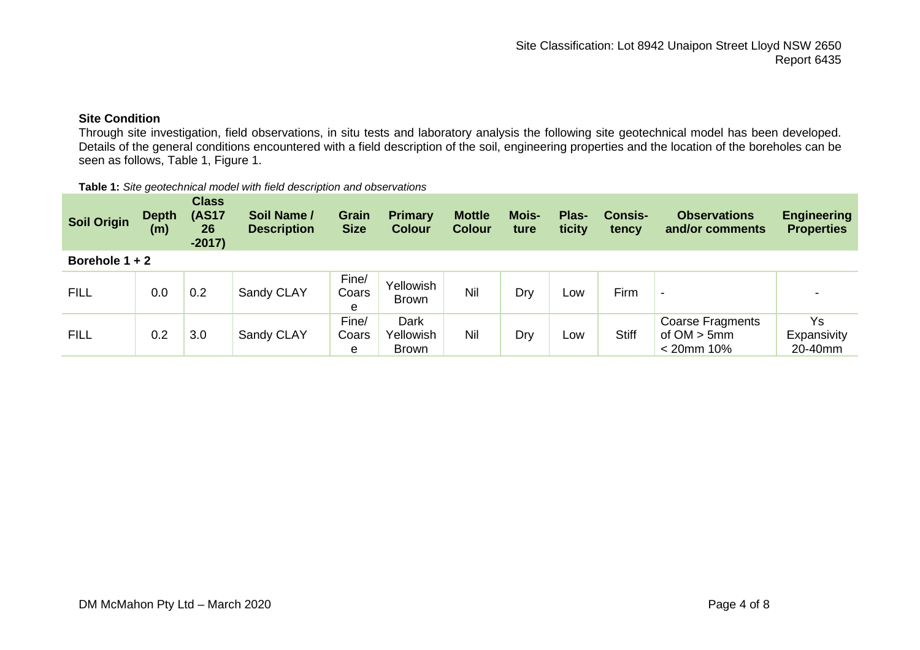# **Site Condition**

Through site investigation, field observations, in situ tests and laboratory analysis the following site geotechnical model has been developed. Details of the general conditions encountered with a field description of the soil, engineering properties and the location of the boreholes can be seen as follows, Table 1, Figure 1.

#### **Table 1:** *Site geotechnical model with field description and observations*

| <b>Soil Origin</b> | <b>Depth</b><br>(m) | <b>Class</b><br><b>(AS17</b><br>26<br>$-2017)$ | Soil Name /<br><b>Description</b> | <b>Grain</b><br><b>Size</b> | <b>Primary</b><br><b>Colour</b>   | <b>Mottle</b><br><b>Colour</b> | <b>Mois-</b><br>ture | Plas-<br>ticity | <b>Consis-</b><br>tency | <b>Observations</b><br>and/or comments                    | <b>Engineering</b><br><b>Properties</b> |
|--------------------|---------------------|------------------------------------------------|-----------------------------------|-----------------------------|-----------------------------------|--------------------------------|----------------------|-----------------|-------------------------|-----------------------------------------------------------|-----------------------------------------|
| Borehole $1 + 2$   |                     |                                                |                                   |                             |                                   |                                |                      |                 |                         |                                                           |                                         |
| <b>FILL</b>        | 0.0                 | 0.2                                            | Sandy CLAY                        | Fine/<br>Coars<br>e         | Yellowish<br><b>Brown</b>         | Nil                            | Dry                  | LOW             | Firm                    | $\overline{\phantom{0}}$                                  |                                         |
| <b>FILL</b>        | 0.2                 | 3.0                                            | Sandy CLAY                        | Fine/<br>Coars<br>e         | Dark<br>Yellowish<br><b>Brown</b> | Nil                            | Dry                  | Low             | <b>Stiff</b>            | <b>Coarse Fragments</b><br>of $OM > 5mm$<br>$< 20$ mm 10% | Ys<br>Expansivity<br>20-40mm            |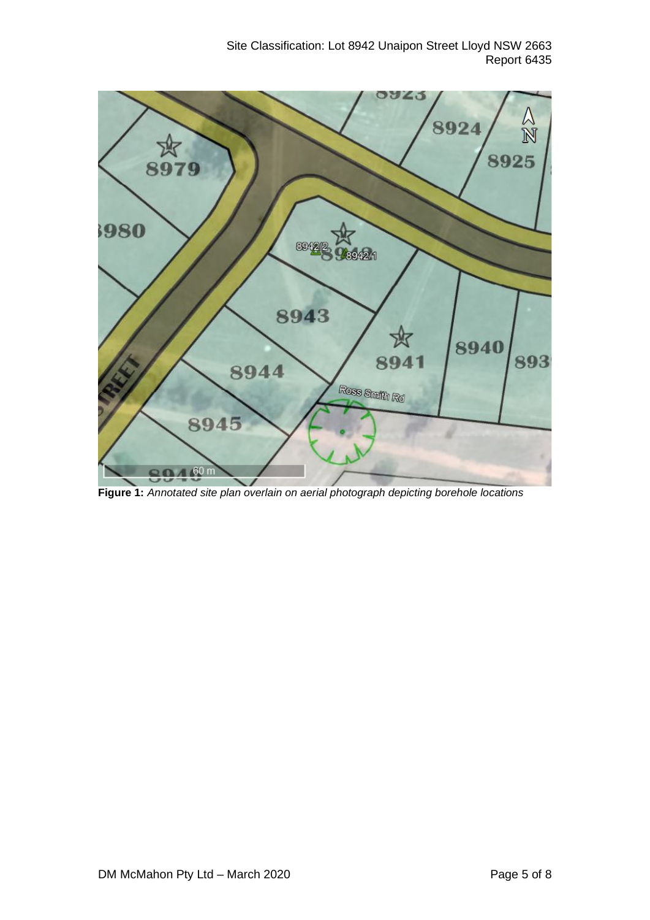Site Classification: Lot 8942 Unaipon Street Lloyd NSW 2663 Report 6435



**Figure 1:** *Annotated site plan overlain on aerial photograph depicting borehole locations*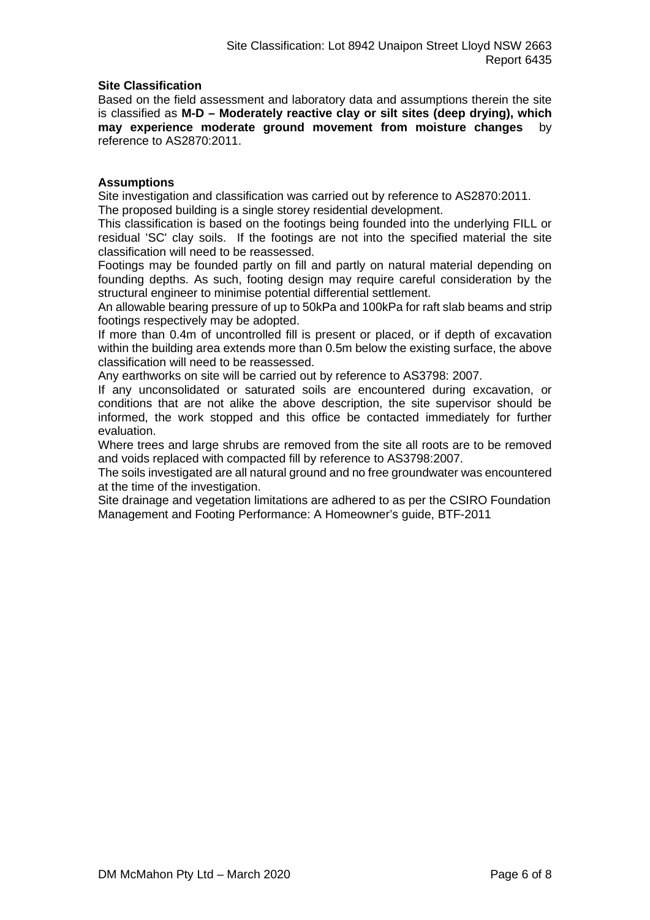### **Site Classification**

Based on the field assessment and laboratory data and assumptions therein the site is classified as **M-D – Moderately reactive clay or silt sites (deep drying), which may experience moderate ground movement from moisture changes** by reference to AS2870:2011.

## **Assumptions**

Site investigation and classification was carried out by reference to AS2870:2011. The proposed building is a single storey residential development.

This classification is based on the footings being founded into the underlying FILL or residual 'SC' clay soils. If the footings are not into the specified material the site classification will need to be reassessed.

Footings may be founded partly on fill and partly on natural material depending on founding depths. As such, footing design may require careful consideration by the structural engineer to minimise potential differential settlement.

An allowable bearing pressure of up to 50kPa and 100kPa for raft slab beams and strip footings respectively may be adopted.

If more than 0.4m of uncontrolled fill is present or placed, or if depth of excavation within the building area extends more than 0.5m below the existing surface, the above classification will need to be reassessed.

Any earthworks on site will be carried out by reference to AS3798: 2007.

If any unconsolidated or saturated soils are encountered during excavation, or conditions that are not alike the above description, the site supervisor should be informed, the work stopped and this office be contacted immediately for further evaluation.

Where trees and large shrubs are removed from the site all roots are to be removed and voids replaced with compacted fill by reference to AS3798:2007.

The soils investigated are all natural ground and no free groundwater was encountered at the time of the investigation.

Site drainage and vegetation limitations are adhered to as per the CSIRO Foundation Management and Footing Performance: A Homeowner's guide, BTF-2011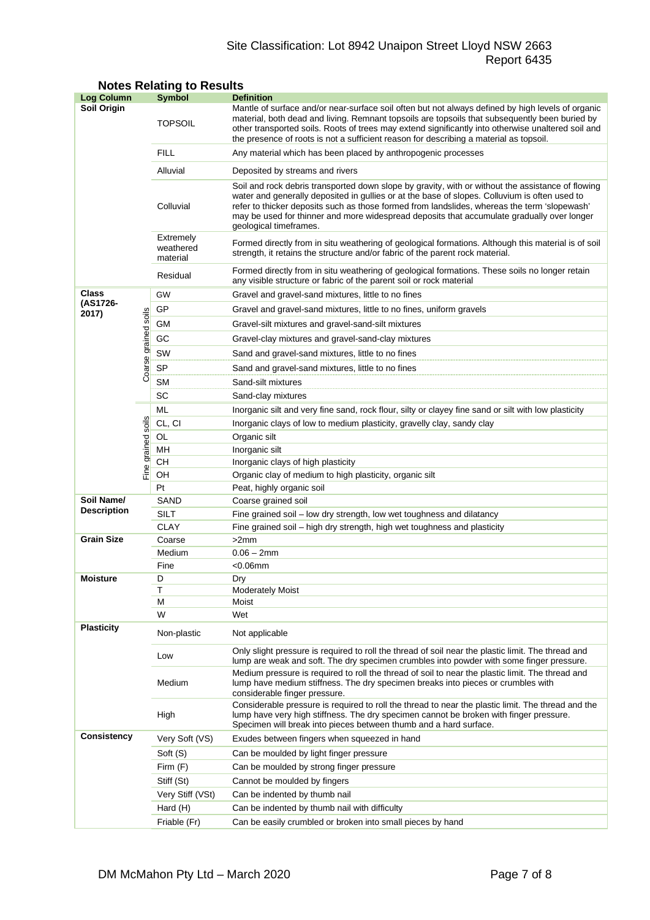# Site Classification: Lot 8942 Unaipon Street Lloyd NSW 2663 Report 6435

| <b>Log Column</b>  |                      | <b>Symbol</b>                                                                                                                                                                                  | <b>Definition</b>                                                                                                                                                                                                                                                                                                                                                                                                          |  |  |  |
|--------------------|----------------------|------------------------------------------------------------------------------------------------------------------------------------------------------------------------------------------------|----------------------------------------------------------------------------------------------------------------------------------------------------------------------------------------------------------------------------------------------------------------------------------------------------------------------------------------------------------------------------------------------------------------------------|--|--|--|
| Soil Origin        |                      | <b>TOPSOIL</b>                                                                                                                                                                                 | Mantle of surface and/or near-surface soil often but not always defined by high levels of organic<br>material, both dead and living. Remnant topsoils are topsoils that subsequently been buried by<br>other transported soils. Roots of trees may extend significantly into otherwise unaltered soil and<br>the presence of roots is not a sufficient reason for describing a material as topsoil.                        |  |  |  |
|                    |                      | <b>FILL</b>                                                                                                                                                                                    | Any material which has been placed by anthropogenic processes                                                                                                                                                                                                                                                                                                                                                              |  |  |  |
|                    |                      | Alluvial                                                                                                                                                                                       | Deposited by streams and rivers                                                                                                                                                                                                                                                                                                                                                                                            |  |  |  |
|                    |                      | Colluvial                                                                                                                                                                                      | Soil and rock debris transported down slope by gravity, with or without the assistance of flowing<br>water and generally deposited in gullies or at the base of slopes. Colluvium is often used to<br>refer to thicker deposits such as those formed from landslides, whereas the term 'slopewash'<br>may be used for thinner and more widespread deposits that accumulate gradually over longer<br>geological timeframes. |  |  |  |
|                    |                      | Extremely<br>weathered<br>material                                                                                                                                                             | Formed directly from in situ weathering of geological formations. Although this material is of soil<br>strength, it retains the structure and/or fabric of the parent rock material.                                                                                                                                                                                                                                       |  |  |  |
|                    |                      | Residual                                                                                                                                                                                       | Formed directly from in situ weathering of geological formations. These soils no longer retain<br>any visible structure or fabric of the parent soil or rock material                                                                                                                                                                                                                                                      |  |  |  |
| Class              |                      | GW                                                                                                                                                                                             | Gravel and gravel-sand mixtures, little to no fines                                                                                                                                                                                                                                                                                                                                                                        |  |  |  |
| (AS1726-<br>2017)  |                      | GP                                                                                                                                                                                             | Gravel and gravel-sand mixtures, little to no fines, uniform gravels                                                                                                                                                                                                                                                                                                                                                       |  |  |  |
|                    |                      | GМ                                                                                                                                                                                             | Gravel-silt mixtures and gravel-sand-silt mixtures                                                                                                                                                                                                                                                                                                                                                                         |  |  |  |
|                    |                      | GC                                                                                                                                                                                             | Gravel-clay mixtures and gravel-sand-clay mixtures                                                                                                                                                                                                                                                                                                                                                                         |  |  |  |
|                    |                      | SW                                                                                                                                                                                             |                                                                                                                                                                                                                                                                                                                                                                                                                            |  |  |  |
|                    |                      | SP                                                                                                                                                                                             | Sand and gravel-sand mixtures, little to no fines                                                                                                                                                                                                                                                                                                                                                                          |  |  |  |
|                    | Coarse grained soils | <b>SM</b>                                                                                                                                                                                      | Sand and gravel-sand mixtures, little to no fines<br>Sand-silt mixtures                                                                                                                                                                                                                                                                                                                                                    |  |  |  |
|                    |                      | SC                                                                                                                                                                                             | Sand-clay mixtures                                                                                                                                                                                                                                                                                                                                                                                                         |  |  |  |
|                    |                      | ML                                                                                                                                                                                             | Inorganic silt and very fine sand, rock flour, silty or clayey fine sand or silt with low plasticity                                                                                                                                                                                                                                                                                                                       |  |  |  |
|                    |                      | CL, CI                                                                                                                                                                                         | Inorganic clays of low to medium plasticity, gravelly clay, sandy clay                                                                                                                                                                                                                                                                                                                                                     |  |  |  |
|                    |                      | OL                                                                                                                                                                                             | Organic silt                                                                                                                                                                                                                                                                                                                                                                                                               |  |  |  |
|                    |                      | MН                                                                                                                                                                                             | Inorganic silt                                                                                                                                                                                                                                                                                                                                                                                                             |  |  |  |
|                    |                      | CН                                                                                                                                                                                             | Inorganic clays of high plasticity                                                                                                                                                                                                                                                                                                                                                                                         |  |  |  |
|                    | Fine grained soils   | OH                                                                                                                                                                                             | Organic clay of medium to high plasticity, organic silt                                                                                                                                                                                                                                                                                                                                                                    |  |  |  |
|                    |                      | Pt                                                                                                                                                                                             | Peat, highly organic soil                                                                                                                                                                                                                                                                                                                                                                                                  |  |  |  |
| Soil Name/         |                      | SAND                                                                                                                                                                                           | Coarse grained soil                                                                                                                                                                                                                                                                                                                                                                                                        |  |  |  |
| <b>Description</b> |                      | <b>SILT</b>                                                                                                                                                                                    | Fine grained soil - low dry strength, low wet toughness and dilatancy                                                                                                                                                                                                                                                                                                                                                      |  |  |  |
|                    |                      | <b>CLAY</b>                                                                                                                                                                                    | Fine grained soil - high dry strength, high wet toughness and plasticity                                                                                                                                                                                                                                                                                                                                                   |  |  |  |
| <b>Grain Size</b>  |                      | Coarse                                                                                                                                                                                         | >2mm                                                                                                                                                                                                                                                                                                                                                                                                                       |  |  |  |
|                    |                      | Medium                                                                                                                                                                                         | $0.06 - 2mm$                                                                                                                                                                                                                                                                                                                                                                                                               |  |  |  |
|                    |                      | Fine                                                                                                                                                                                           | <0.06mm                                                                                                                                                                                                                                                                                                                                                                                                                    |  |  |  |
| <b>Moisture</b>    |                      | D<br>Τ                                                                                                                                                                                         | Dry                                                                                                                                                                                                                                                                                                                                                                                                                        |  |  |  |
|                    |                      | М                                                                                                                                                                                              | <b>Moderately Moist</b><br>Moist                                                                                                                                                                                                                                                                                                                                                                                           |  |  |  |
|                    |                      | W                                                                                                                                                                                              | Wet                                                                                                                                                                                                                                                                                                                                                                                                                        |  |  |  |
| <b>Plasticity</b>  |                      | Non-plastic                                                                                                                                                                                    | Not applicable                                                                                                                                                                                                                                                                                                                                                                                                             |  |  |  |
|                    | Low                  | Only slight pressure is required to roll the thread of soil near the plastic limit. The thread and<br>lump are weak and soft. The dry specimen crumbles into powder with some finger pressure. |                                                                                                                                                                                                                                                                                                                                                                                                                            |  |  |  |
|                    |                      | Medium                                                                                                                                                                                         | Medium pressure is required to roll the thread of soil to near the plastic limit. The thread and<br>lump have medium stiffness. The dry specimen breaks into pieces or crumbles with<br>considerable finger pressure.                                                                                                                                                                                                      |  |  |  |
|                    |                      | High                                                                                                                                                                                           | Considerable pressure is required to roll the thread to near the plastic limit. The thread and the<br>lump have very high stiffness. The dry specimen cannot be broken with finger pressure.<br>Specimen will break into pieces between thumb and a hard surface.                                                                                                                                                          |  |  |  |
| <b>Consistency</b> |                      | Very Soft (VS)                                                                                                                                                                                 | Exudes between fingers when squeezed in hand                                                                                                                                                                                                                                                                                                                                                                               |  |  |  |
|                    |                      | Soft (S)                                                                                                                                                                                       | Can be moulded by light finger pressure                                                                                                                                                                                                                                                                                                                                                                                    |  |  |  |
|                    |                      | Firm $(F)$                                                                                                                                                                                     | Can be moulded by strong finger pressure                                                                                                                                                                                                                                                                                                                                                                                   |  |  |  |
|                    |                      | Stiff (St)                                                                                                                                                                                     | Cannot be moulded by fingers                                                                                                                                                                                                                                                                                                                                                                                               |  |  |  |
|                    |                      | Very Stiff (VSt)                                                                                                                                                                               | Can be indented by thumb nail                                                                                                                                                                                                                                                                                                                                                                                              |  |  |  |
|                    |                      | Hard (H)                                                                                                                                                                                       | Can be indented by thumb nail with difficulty                                                                                                                                                                                                                                                                                                                                                                              |  |  |  |
|                    |                      | Friable (Fr)                                                                                                                                                                                   | Can be easily crumbled or broken into small pieces by hand                                                                                                                                                                                                                                                                                                                                                                 |  |  |  |

# **Notes Relating to Results**